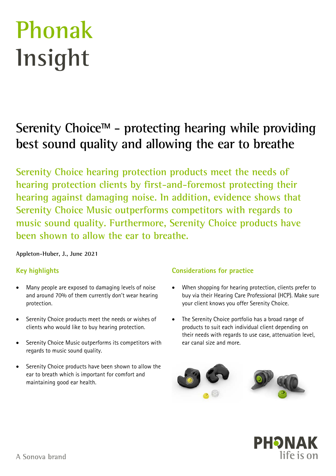# **Phonak Insight**

# **Serenity ChoiceTM - protecting hearing while providing best sound quality and allowing the ear to breathe**

**Serenity Choice hearing protection products meet the needs of hearing protection clients by first-and-foremost protecting their hearing against damaging noise. In addition, evidence shows that Serenity Choice Music outperforms competitors with regards to music sound quality. Furthermore, Serenity Choice products have been shown to allow the ear to breathe.** 

**Appleton-Huber, J., June 2021** 

# **Key highlights**

- Many people are exposed to damaging levels of noise and around 70% of them currently don't wear hearing protection.
- Serenity Choice products meet the needs or wishes of clients who would like to buy hearing protection.
- Serenity Choice Music outperforms its competitors with regards to music sound quality.
- Serenity Choice products have been shown to allow the ear to breath which is important for comfort and maintaining good ear health.

# **Considerations for practice**

- When shopping for hearing protection, clients prefer to buy via their Hearing Care Professional (HCP). Make sure your client knows you offer Serenity Choice.
- The Serenity Choice portfolio has a broad range of products to suit each individual client depending on their needs with regards to use case, attenuation level, ear canal size and more.



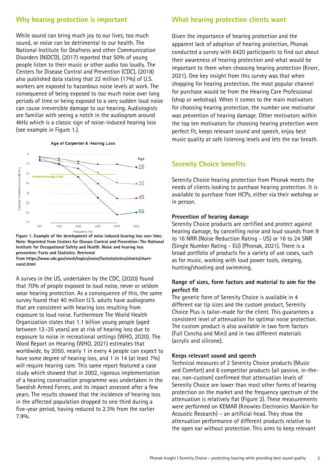# **Why hearing protection is important**

While sound can bring much joy to our lives, too much sound, or noise can be detrimental to our health. The National Institute for Deafness and other Communication Disorders (NIDCD), (2017) reported that 50% of young people listen to their music or other audio too loudly. The Centers for Disease Control and Prevention (CDC), (2018) also published data stating that 22 million (17%) of U.S. workers are exposed to hazardous noise levels at work. The consequence of being exposed to too much noise over long periods of time or being exposed to a very sudden loud noise can cause irreversible damage to our hearing. Audiologists are familiar with seeing a notch in the audiogram around 4kHz which is a classic sign of noise-induced hearing loss (see example in Figure 1.).

Age of Carpenter & Hearing Loss



**Figure 1. Example of the development of noise induced hearing loss over time. Note: Reprinted from Centers for Disease Control and Prevention: The National Institute for Occupational Safety and Health. Noise and hearing loss prevention: Facts and Statistics. Retrieved** 

**from https://www.cdc.gov/niosh/topics/noise/factsstatistics/charts/chartconst.html** 

A survey in the US, undertaken by the CDC, (2020) found that 70% of people exposed to loud noise, never or seldom wear hearing protection. As a consequence of this, the same survey found that 40 million U.S. adults have audiograms that are consistent with hearing loss resulting from exposure to loud noise. Furthermore The World Health Organization states that 1.1 billion young people (aged between 12–35 years) are at risk of hearing loss due to exposure to noise in recreational settings (WHO, 2020). The Word Report on Hearing (WHO, 2021) estimates that worldwide, by 2050, nearly 1 in every 4 people can expect to have some degree of hearing loss, and 1 in 14 (at least 7%) will require hearing care. This same report featured a case study which showed that in 2002, rigorous implementation of a hearing conservation programme was undertaken in the Swedish Armed Forces, and its impact assessed after a few years. The results showed that the incidence of hearing loss in the affected population dropped to one third during a five-year period, having reduced to 2.3% from the earlier 7.9%.

# **What hearing protection clients want**

Given the importance of hearing protection and the apparent lack of adoption of hearing protection, Phonak conducted a survey with 6420 participants to find out about their awareness of hearing protection and what would be important to them when choosing hearing protection (Knorr, 2021). One key insight from this survey was that when shopping for hearing protection, the most popular channel for purchase would be from the Hearing Care Professional (shop or webshop). When it comes to the main motivators for choosing hearing protection, the number one motivator was prevention of hearing damage. Other motivators within the top ten motivators for choosing hearing protection were perfect fit, keeps relevant sound and speech, enjoy best music quality at safe listening levels and lets the ear breath.

### **Serenity Choice benefits**

Serenity Choice hearing protection from Phonak meets the needs of clients looking to purchase hearing protection. It is available to purchase from HCPs, either via their webshop or in person.

#### **Prevention of hearing damage**

Serenity Choice products are certified and protect against hearing damage, by cancelling noise and loud sounds from 9 to 16 NRR (Noise Reduction Rating - US) or 16 to 24 SNR (Single Number Rating - EU) (Phonak, 2021). There is a broad portfolio of products for a variety of use cases, such as for music, working with loud power tools, sleeping, hunting/shooting and swimming.

#### **Range of sizes, form factors and material to aim for the perfect fit**

The generic form of Serenity Choice is available in 4 different ear tip sizes and the custom product, Serenity Choice Plus is tailor-made for the client. This guarantees a consistent level of attenuation for optimal noise protection. The custom product is also available in two form factors (Full Concha and Mini) and in two different materials (acrylic and silicone).

#### **Keeps relevant sound and speech**

Technical measures of 2 Serenity Choice products (Music and Comfort) and 6 competitor products (all passive, in-theear, non-custom) confirmed that attenuation levels of Serenity Choice are lower than most other forms of hearing protection on the market and the frequency spectrum of the attenuation is relatively flat (Figure 2). These measurements were performed on KEMAR (Knowles Electronics Manikin for Acoustic Research) – an artificial head. They show the attenuation performance of different products relative to the open ear without protection. This aims to keep relevant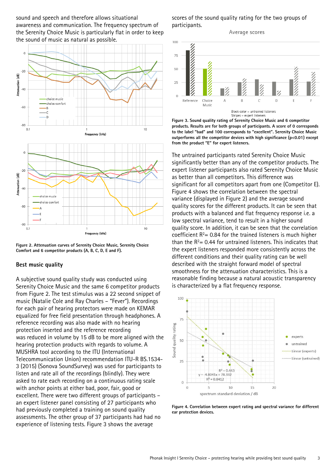sound and speech and therefore allows situational awareness and communication. The frequency spectrum of the Serenity Choice Music is particularly flat in order to keep the sound of music as natural as possible.



**Figure 2. Attenuation curves of Serenity Choice Music, Serenity Choice Comfort and 6 competitor products (A, B, C, D, E and F).**

#### **Best music quality**

A subjective sound quality study was conducted using Serenity Choice Music and the same 6 competitor products from Figure 2. The test stimulus was a 22 second snippet of music (Natalie Cole and Ray Charles – "Fever"). Recordings for each pair of hearing protectors were made on KEMAR equalized for free field presentation through headphones. A reference recording was also made with no hearing protection inserted and the reference recording was reduced in volume by 15 dB to be more aligned with the hearing protection products with regards to volume. A MUSHRA tool according to the ITU (International Telecommunication Union) recommendation ITU-R BS.1534- 3 (2015) (Sonova SoundSurvey) was used for participants to listen and rate all of the recordings (blindly). They were asked to rate each recording on a continuous rating scale with anchor points at either bad, poor, fair, good or excellent. There were two different groups of participants – an expert listener panel consisting of 27 participants who had previously completed a training on sound quality assessments. The other group of 37 participants had had no experience of listening tests. Figure 3 shows the average

scores of the sound quality rating for the two groups of participants.

Average scores



**Figure 3. Sound quality rating of Serenity Choice Music and 6 competitor products. Results are for both groups of participants. A score of 0 corresponds to the label "bad" and 100 corresponds to "excellent". Serenity Choice Music outperforms all the competitor devices with high significance (p<0.01) except from the product "E" for expert listeners.** 

The untrained participants rated Serenity Choice Music significantly better than any of the competitor products. The expert listener participants also rated Serenity Choice Music as better than all competitors. This difference was significant for all competitors apart from one (Competitor E). Figure 4 shows the correlation between the spectral variance (displayed in Figure 2) and the average sound quality scores for the different products. It can be seen that products with a balanced and flat frequency response i.e. a low spectral variance, tend to result in a higher sound quality score. In addition, it can be seen that the correlation coefficient  $R<sup>2</sup>= 0.84$  for the trained listeners is much higher than the  $R^2$ = 0.44 for untrained listeners. This indicates that the expert listeners responded more consistently across the different conditions and their quality rating can be well described with the straight forward model of spectral smoothness for the attenuation characteristics. This is a reasonable finding because a natural acoustic transparency is characterized by a flat frequency response.



**Figure 4. Correlation between expert rating and spectral variance for different ear protection devices.**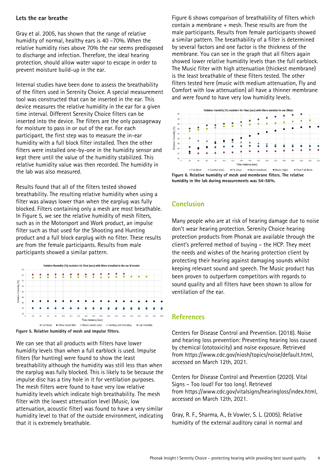#### **Lets the ear breathe**

Gray et al. 2005, has shown that the range of relative humidity of normal, healthy ears is 40 –70%. When the relative humidity rises above 70% the ear seems predisposed to discharge and infection. Therefore, the ideal hearing protection, should allow water vapor to escape in order to prevent moisture build-up in the ear.

Internal studies have been done to assess the breathability of the filters used in Serenity Choice. A special measurement tool was constructed that can be inserted in the ear. This device measures the relative humidity in the ear for a given time interval. Different Serenity Choice filters can be inserted into the device. The filters are the only passageway for moisture to pass in or out of the ear. For each participant, the first step was to measure the in-ear humidity with a full block filter installed. Then the other filters were installed one-by-one in the humidity sensor and kept there until the value of the humidity stabilized. This relative humidity value was then recorded. The humidity in the lab was also measured.

Results found that all of the filters tested showed breathability. The resulting relative humidity when using a filter was always lower than when the earplug was fully blocked. Filters containing only a mesh are most breathable. In Figure 5, we see the relative humidity of mesh filters, such as in the Motorsport and Work product, an impulse filter such as that used for the Shooting and Hunting product and a full block earplug with no filter. These results are from the female participants. Results from male participants showed a similar pattern.





We can see that all products with filters have lower humidity levels than when a full earblock is used. Impulse filters (for hunting) were found to show the least breathability although the humidity was still less than when the earplug was fully blocked. This is likely to be because the impulse disc has a tiny hole in it for ventilation purposes. The mesh filters were found to have very low relative humidity levels which indicate high breathability. The mesh filter with the lowest attenuation level (Music, low attenuation, acoustic filter) was found to have a very similar humidity level to that of the outside environment, indicating that it is extremely breathable.

Figure 6 shows comparison of breathability of filters which contain a membrane + mesh. These results are from the male participants. Results from female participants showed a similar pattern. The breathability of a filter is determined by several factors and one factor is the thickness of the membrane. You can see in the graph that all filters again showed lower relative humidity levels than the full earblock. The Music filter with high attenuation (thickest membrane) is the least breathable of these filters tested. The other filters tested here (music with medium attenuation, Fly and Comfort with low attenuation) all have a thinner membrane and were found to have very low humidity levels.



**humidity in the lab during measurements was 54-56%.** 

# **Conclusion**

Many people who are at risk of hearing damage due to noise don't wear hearing protection. Serenity Choice hearing protection products from Phonak are available through the client's preferred method of buying – the HCP. They meet the needs and wishes of the hearing protection client by protecting their hearing against damaging sounds whilst keeping relevant sound and speech. The Music product has been proven to outperform competitors with regards to sound quality and all filters have been shown to allow for ventilation of the ear.

#### **References**

Centers for Disease Control and Prevention. (2018). Noise and hearing loss prevention: Preventing hearing loss caused by chemical (ototoxicity) and noise exposure. Retrieved from https://www.cdc.gov/niosh/topics/noise/default.html, accessed on March 12th, 2021.

Centers for Disease Control and Prevention (2020). Vital Signs – Too loud! For too long!. Retrieved from https://www.cdc.gov/vitalsigns/hearingloss/index.html, accessed on March 12th, 2021.

Gray, R. F., Sharma, A., & Vowler, S. L. (2005). Relative humidity of the external auditory canal in normal and